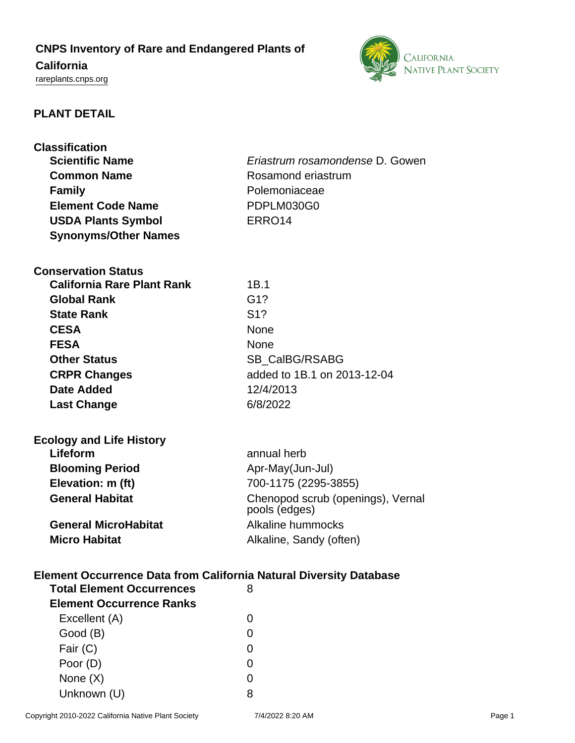# **CNPS Inventory of Rare and Endangered Plants of**

# **California**

<rareplants.cnps.org>



# **PLANT DETAIL**

| <b>Classification</b>                                                                                              |  |  |
|--------------------------------------------------------------------------------------------------------------------|--|--|
| <b>Scientific Name</b><br>Eriastrum rosamondense D. Gowen                                                          |  |  |
| Rosamond eriastrum<br><b>Common Name</b>                                                                           |  |  |
| <b>Family</b><br>Polemoniaceae                                                                                     |  |  |
| <b>Element Code Name</b><br>PDPLM030G0                                                                             |  |  |
| ERRO <sub>14</sub><br><b>USDA Plants Symbol</b>                                                                    |  |  |
| <b>Synonyms/Other Names</b>                                                                                        |  |  |
|                                                                                                                    |  |  |
| <b>Conservation Status</b>                                                                                         |  |  |
| <b>California Rare Plant Rank</b><br>1B.1                                                                          |  |  |
| G <sub>1</sub> ?<br><b>Global Rank</b>                                                                             |  |  |
| <b>State Rank</b><br>S <sub>1</sub> ?                                                                              |  |  |
| <b>CESA</b><br><b>None</b>                                                                                         |  |  |
| <b>FESA</b><br>None                                                                                                |  |  |
| <b>Other Status</b><br><b>SB CalBG/RSABG</b>                                                                       |  |  |
| added to 1B.1 on 2013-12-04<br><b>CRPR Changes</b>                                                                 |  |  |
| 12/4/2013<br><b>Date Added</b>                                                                                     |  |  |
| 6/8/2022<br><b>Last Change</b>                                                                                     |  |  |
|                                                                                                                    |  |  |
| <b>Ecology and Life History</b>                                                                                    |  |  |
| Lifeform<br>annual herb                                                                                            |  |  |
| <b>Blooming Period</b><br>Apr-May(Jun-Jul)                                                                         |  |  |
| 700-1175 (2295-3855)<br>Elevation: m (ft)                                                                          |  |  |
| <b>General Habitat</b><br>Chenopod scrub (openings), Vernal<br>pools (edges)                                       |  |  |
| <b>General MicroHabitat</b><br>Alkaline hummocks                                                                   |  |  |
| <b>Micro Habitat</b><br>Alkaline, Sandy (often)                                                                    |  |  |
|                                                                                                                    |  |  |
| <b>Element Occurrence Data from California Natural Diversity Database</b><br><b>Total Element Occurrences</b><br>8 |  |  |
| <b>Element Occurrence Ranks</b>                                                                                    |  |  |
| Excellent (A)<br>$\Omega$                                                                                          |  |  |
| Good (B)<br>0                                                                                                      |  |  |
| Fair (C)<br>$\Omega$                                                                                               |  |  |
| Poor (D)<br>0                                                                                                      |  |  |

None  $(X)$  0 Unknown (U) 8